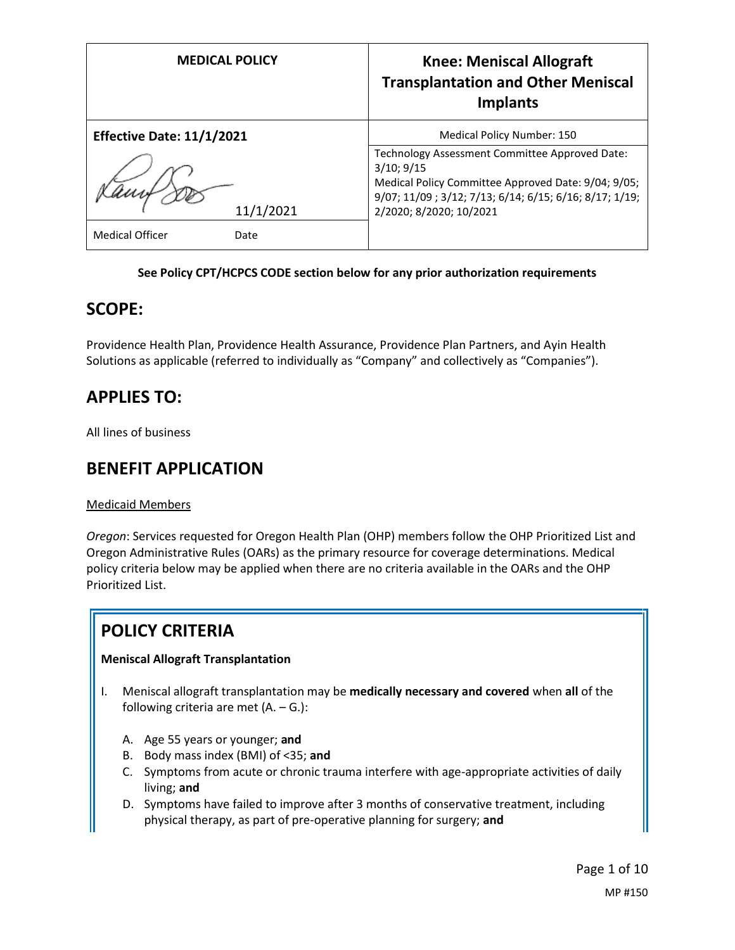| <b>MEDICAL POLICY</b>            | <b>Knee: Meniscal Allograft</b><br><b>Transplantation and Other Meniscal</b><br><b>Implants</b>                                                                                                          |
|----------------------------------|----------------------------------------------------------------------------------------------------------------------------------------------------------------------------------------------------------|
| <b>Effective Date: 11/1/2021</b> | Medical Policy Number: 150                                                                                                                                                                               |
| 11/1/2021                        | Technology Assessment Committee Approved Date:<br>3/10; 9/15<br>Medical Policy Committee Approved Date: 9/04; 9/05;<br>9/07; 11/09; 3/12; 7/13; 6/14; 6/15; 6/16; 8/17; 1/19;<br>2/2020; 8/2020; 10/2021 |
| <b>Medical Officer</b><br>Date   |                                                                                                                                                                                                          |

## **See Policy CPT/HCPCS CODE section below for any prior authorization requirements**

## **SCOPE:**

Providence Health Plan, Providence Health Assurance, Providence Plan Partners, and Ayin Health Solutions as applicable (referred to individually as "Company" and collectively as "Companies").

# **APPLIES TO:**

All lines of business

# **BENEFIT APPLICATION**

Medicaid Members

*Oregon*: Services requested for Oregon Health Plan (OHP) members follow the OHP Prioritized List and Oregon Administrative Rules (OARs) as the primary resource for coverage determinations. Medical policy criteria below may be applied when there are no criteria available in the OARs and the OHP Prioritized List.

# **POLICY CRITERIA**

## **Meniscal Allograft Transplantation**

- I. Meniscal allograft transplantation may be **medically necessary and covered** when **all** of the following criteria are met  $(A. - G.):$ 
	- A. Age 55 years or younger; **and**
	- B. Body mass index (BMI) of <35; **and**
	- C. Symptoms from acute or chronic trauma interfere with age-appropriate activities of daily living; **and**
	- D. Symptoms have failed to improve after 3 months of conservative treatment, including physical therapy, as part of pre-operative planning for surgery; **and**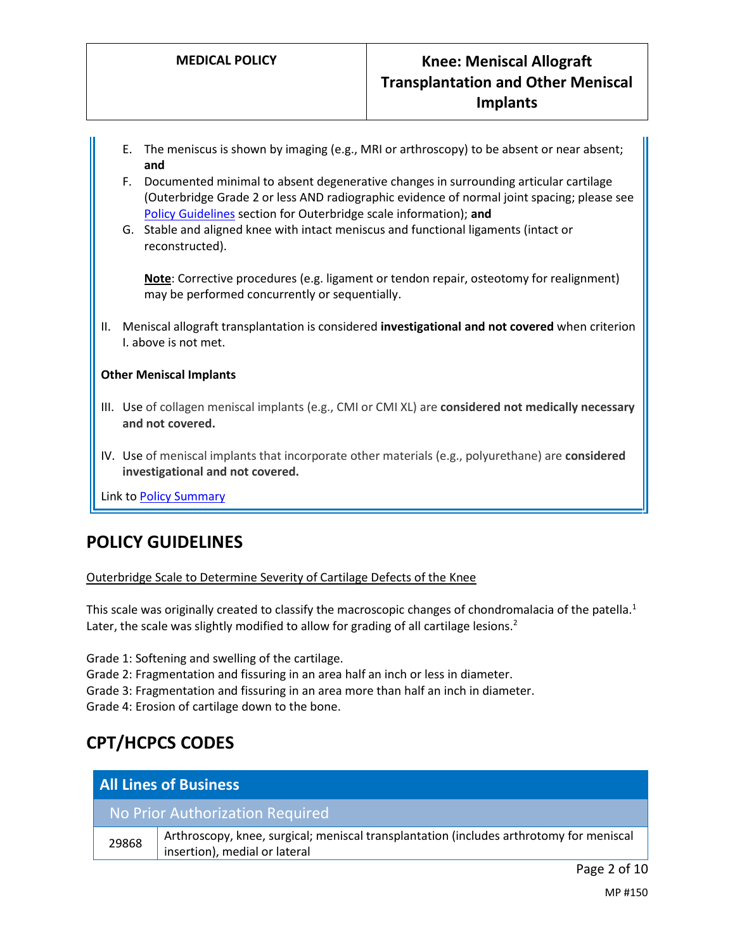- E. The meniscus is shown by imaging (e.g., MRI or arthroscopy) to be absent or near absent; **and**
- F. Documented minimal to absent degenerative changes in surrounding articular cartilage (Outerbridge Grade 2 or less AND radiographic evidence of normal joint spacing; please see [Policy Guidelines](#page-1-0) section for Outerbridge scale information); **and**
- G. Stable and aligned knee with intact meniscus and functional ligaments (intact or reconstructed).

**Note**: Corrective procedures (e.g. ligament or tendon repair, osteotomy for realignment) may be performed concurrently or sequentially.

II. Meniscal allograft transplantation is considered **investigational and not covered** when criterion I. above is not met.

## **Other Meniscal Implants**

- III. Use of collagen meniscal implants (e.g., CMI or CMI XL) are **considered not medically necessary and not covered.**
- IV. Use of meniscal implants that incorporate other materials (e.g., polyurethane) are **considered investigational and not covered.**

Link t[o Policy Summary](#page-6-0)

# <span id="page-1-0"></span>**POLICY GUIDELINES**

#### Outerbridge Scale to Determine Severity of Cartilage Defects of the Knee

This scale was originally created to classify the macroscopic changes of chondromalacia of the patella.<sup>1</sup> Later, the scale was slightly modified to allow for grading of all cartilage lesions.<sup>2</sup>

Grade 1: Softening and swelling of the cartilage.

Grade 2: Fragmentation and fissuring in an area half an inch or less in diameter.

Grade 3: Fragmentation and fissuring in an area more than half an inch in diameter.

Grade 4: Erosion of cartilage down to the bone.

# **CPT/HCPCS CODES**

| <b>All Lines of Business</b>    |                                                                                                                          |
|---------------------------------|--------------------------------------------------------------------------------------------------------------------------|
| No Prior Authorization Required |                                                                                                                          |
| 29868                           | Arthroscopy, knee, surgical; meniscal transplantation (includes arthrotomy for meniscal<br>insertion), medial or lateral |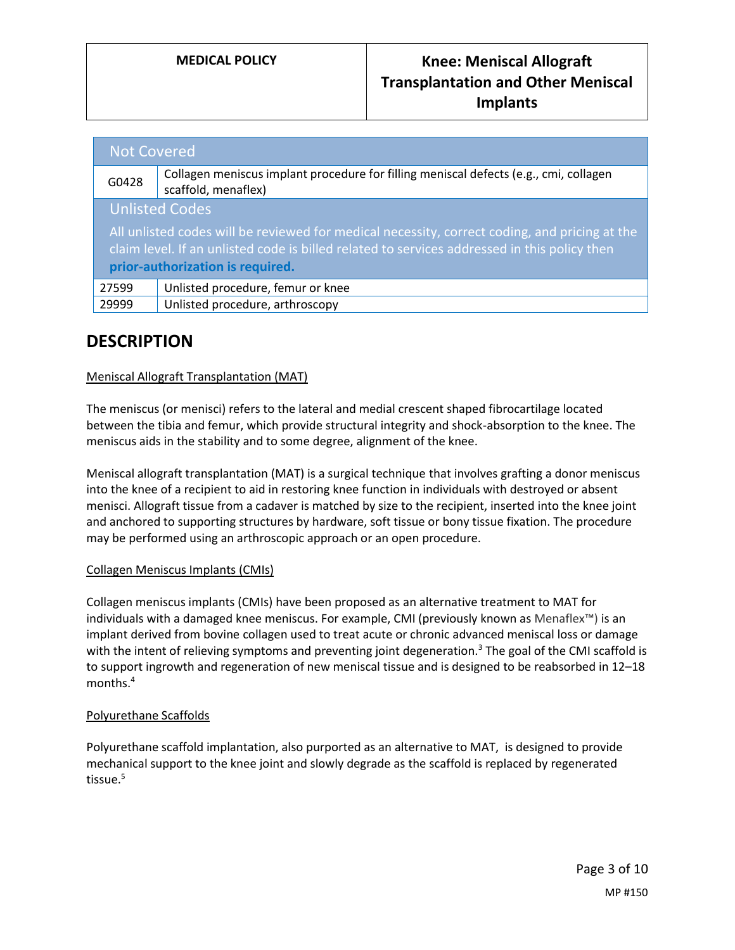| <b>Not Covered</b>                                                                            |                                                                                                              |
|-----------------------------------------------------------------------------------------------|--------------------------------------------------------------------------------------------------------------|
| G0428                                                                                         | Collagen meniscus implant procedure for filling meniscal defects (e.g., cmi, collagen<br>scaffold, menaflex) |
| <b>Unlisted Codes</b>                                                                         |                                                                                                              |
| All unlisted codes will be reviewed for medical necessity, correct coding, and pricing at the |                                                                                                              |
| claim level. If an unlisted code is billed related to services addressed in this policy then  |                                                                                                              |
| prior-authorization is required.                                                              |                                                                                                              |
| 27599                                                                                         | Unlisted procedure, femur or knee                                                                            |
| 29999                                                                                         | Unlisted procedure, arthroscopy                                                                              |

# **DESCRIPTION**

## Meniscal Allograft Transplantation (MAT)

The meniscus (or menisci) refers to the lateral and medial crescent shaped fibrocartilage located between the tibia and femur, which provide structural integrity and shock-absorption to the knee. The meniscus aids in the stability and to some degree, alignment of the knee.

Meniscal allograft transplantation (MAT) is a surgical technique that involves grafting a donor meniscus into the knee of a recipient to aid in restoring knee function in individuals with destroyed or absent menisci. Allograft tissue from a cadaver is matched by size to the recipient, inserted into the knee joint and anchored to supporting structures by hardware, soft tissue or bony tissue fixation. The procedure may be performed using an arthroscopic approach or an open procedure.

## Collagen Meniscus Implants (CMIs)

Collagen meniscus implants (CMIs) have been proposed as an alternative treatment to MAT for individuals with a damaged knee meniscus. For example, CMI (previously known as Menaflex™) is an implant derived from bovine collagen used to treat acute or chronic advanced meniscal loss or damage with the intent of relieving symptoms and preventing joint degeneration.<sup>3</sup> The goal of the CMI scaffold is to support ingrowth and regeneration of new meniscal tissue and is designed to be reabsorbed in 12–18 months.<sup>4</sup>

## Polyurethane Scaffolds

Polyurethane scaffold implantation, also purported as an alternative to MAT, is designed to provide mechanical support to the knee joint and slowly degrade as the scaffold is replaced by regenerated tissue.<sup>5</sup>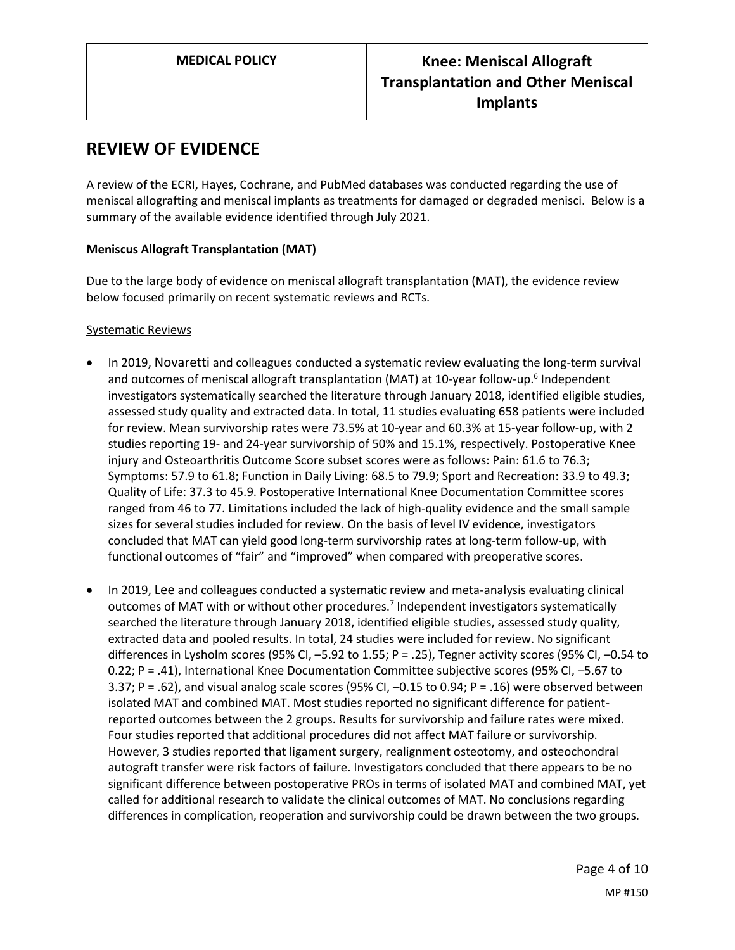## **REVIEW OF EVIDENCE**

A review of the ECRI, Hayes, Cochrane, and PubMed databases was conducted regarding the use of meniscal allografting and meniscal implants as treatments for damaged or degraded menisci. Below is a summary of the available evidence identified through July 2021.

## **Meniscus Allograft Transplantation (MAT)**

Due to the large body of evidence on meniscal allograft transplantation (MAT), the evidence review below focused primarily on recent systematic reviews and RCTs.

## Systematic Reviews

- In 2019, Novaretti and colleagues conducted a systematic review evaluating the long-term survival and outcomes of meniscal allograft transplantation (MAT) at 10-year follow-up.<sup>6</sup> Independent investigators systematically searched the literature through January 2018, identified eligible studies, assessed study quality and extracted data. In total, 11 studies evaluating 658 patients were included for review. Mean survivorship rates were 73.5% at 10-year and 60.3% at 15-year follow-up, with 2 studies reporting 19- and 24-year survivorship of 50% and 15.1%, respectively. Postoperative Knee injury and Osteoarthritis Outcome Score subset scores were as follows: Pain: 61.6 to 76.3; Symptoms: 57.9 to 61.8; Function in Daily Living: 68.5 to 79.9; Sport and Recreation: 33.9 to 49.3; Quality of Life: 37.3 to 45.9. Postoperative International Knee Documentation Committee scores ranged from 46 to 77. Limitations included the lack of high-quality evidence and the small sample sizes for several studies included for review. On the basis of level IV evidence, investigators concluded that MAT can yield good long-term survivorship rates at long-term follow-up, with functional outcomes of "fair" and "improved" when compared with preoperative scores.
- In 2019, Lee and colleagues conducted a systematic review and meta-analysis evaluating clinical outcomes of MAT with or without other procedures.<sup>7</sup> Independent investigators systematically searched the literature through January 2018, identified eligible studies, assessed study quality, extracted data and pooled results. In total, 24 studies were included for review. No significant differences in Lysholm scores (95% CI, –5.92 to 1.55; P = .25), Tegner activity scores (95% CI, –0.54 to 0.22; P = .41), International Knee Documentation Committee subjective scores (95% CI, –5.67 to 3.37; P = .62), and visual analog scale scores (95% CI, –0.15 to 0.94; P = .16) were observed between isolated MAT and combined MAT. Most studies reported no significant difference for patientreported outcomes between the 2 groups. Results for survivorship and failure rates were mixed. Four studies reported that additional procedures did not affect MAT failure or survivorship. However, 3 studies reported that ligament surgery, realignment osteotomy, and osteochondral autograft transfer were risk factors of failure. Investigators concluded that there appears to be no significant difference between postoperative PROs in terms of isolated MAT and combined MAT, yet called for additional research to validate the clinical outcomes of MAT. No conclusions regarding differences in complication, reoperation and survivorship could be drawn between the two groups.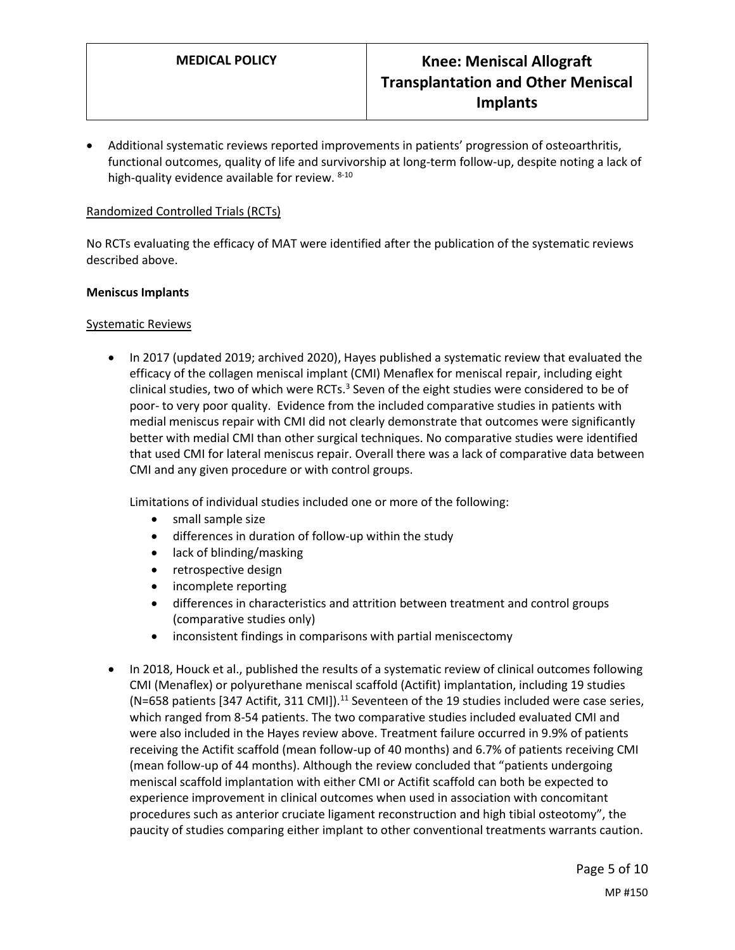Additional systematic reviews reported improvements in patients' progression of osteoarthritis, functional outcomes, quality of life and survivorship at long-term follow-up, despite noting a lack of high-quality evidence available for review. 8-10

## Randomized Controlled Trials (RCTs)

No RCTs evaluating the efficacy of MAT were identified after the publication of the systematic reviews described above.

#### **Meniscus Implants**

#### Systematic Reviews

• In 2017 (updated 2019; archived 2020), Hayes published a systematic review that evaluated the efficacy of the collagen meniscal implant (CMI) Menaflex for meniscal repair, including eight clinical studies, two of which were RCTs. $^3$  Seven of the eight studies were considered to be of poor- to very poor quality. Evidence from the included comparative studies in patients with medial meniscus repair with CMI did not clearly demonstrate that outcomes were significantly better with medial CMI than other surgical techniques. No comparative studies were identified that used CMI for lateral meniscus repair. Overall there was a lack of comparative data between CMI and any given procedure or with control groups.

Limitations of individual studies included one or more of the following:

- small sample size
- differences in duration of follow-up within the study
- lack of blinding/masking
- retrospective design
- incomplete reporting
- differences in characteristics and attrition between treatment and control groups (comparative studies only)
- inconsistent findings in comparisons with partial meniscectomy
- In 2018, Houck et al., published the results of a systematic review of clinical outcomes following CMI (Menaflex) or polyurethane meniscal scaffold (Actifit) implantation, including 19 studies (N=658 patients [347 Actifit, 311 CMI]).<sup>11</sup> Seventeen of the 19 studies included were case series, which ranged from 8-54 patients. The two comparative studies included evaluated CMI and were also included in the Hayes review above. Treatment failure occurred in 9.9% of patients receiving the Actifit scaffold (mean follow-up of 40 months) and 6.7% of patients receiving CMI (mean follow-up of 44 months). Although the review concluded that "patients undergoing meniscal scaffold implantation with either CMI or Actifit scaffold can both be expected to experience improvement in clinical outcomes when used in association with concomitant procedures such as anterior cruciate ligament reconstruction and high tibial osteotomy", the paucity of studies comparing either implant to other conventional treatments warrants caution.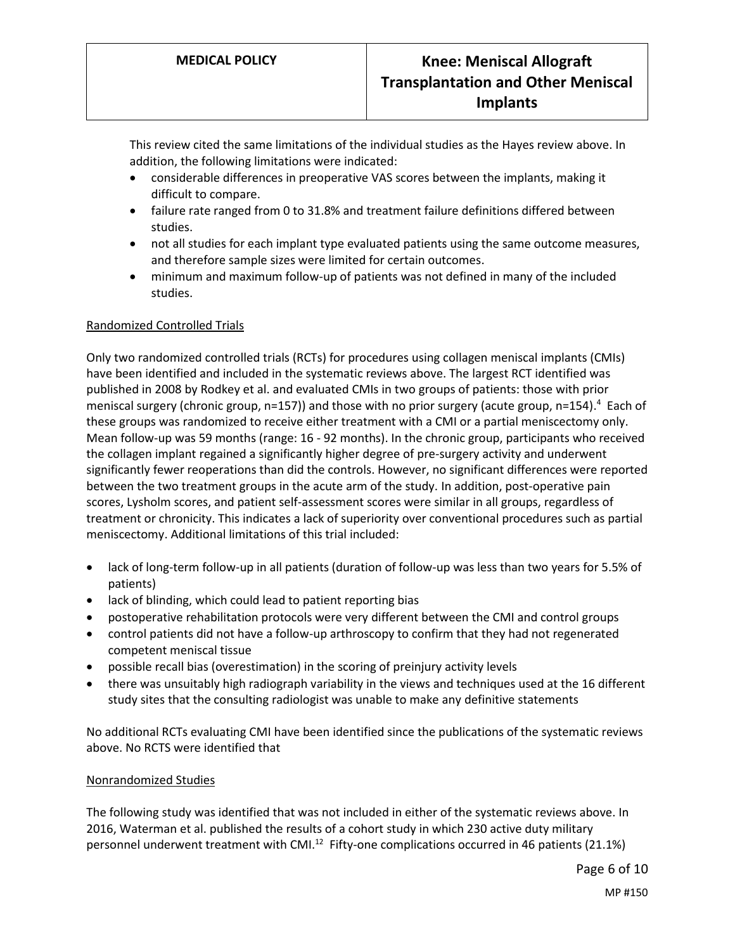This review cited the same limitations of the individual studies as the Hayes review above. In addition, the following limitations were indicated:

- considerable differences in preoperative VAS scores between the implants, making it difficult to compare.
- failure rate ranged from 0 to 31.8% and treatment failure definitions differed between studies.
- not all studies for each implant type evaluated patients using the same outcome measures, and therefore sample sizes were limited for certain outcomes.
- minimum and maximum follow-up of patients was not defined in many of the included studies.

## Randomized Controlled Trials

Only two randomized controlled trials (RCTs) for procedures using collagen meniscal implants (CMIs) have been identified and included in the systematic reviews above. The largest RCT identified was published in 2008 by Rodkey et al. and evaluated CMIs in two groups of patients: those with prior meniscal surgery (chronic group, n=157)) and those with no prior surgery (acute group, n=154).<sup>4</sup> Each of these groups was randomized to receive either treatment with a CMI or a partial meniscectomy only. Mean follow-up was 59 months (range: 16 - 92 months). In the chronic group, participants who received the collagen implant regained a significantly higher degree of pre-surgery activity and underwent significantly fewer reoperations than did the controls. However, no significant differences were reported between the two treatment groups in the acute arm of the study. In addition, post-operative pain scores, Lysholm scores, and patient self-assessment scores were similar in all groups, regardless of treatment or chronicity. This indicates a lack of superiority over conventional procedures such as partial meniscectomy. Additional limitations of this trial included:

- lack of long-term follow-up in all patients (duration of follow-up was less than two years for 5.5% of patients)
- lack of blinding, which could lead to patient reporting bias
- postoperative rehabilitation protocols were very different between the CMI and control groups
- control patients did not have a follow-up arthroscopy to confirm that they had not regenerated competent meniscal tissue
- possible recall bias (overestimation) in the scoring of preinjury activity levels
- there was unsuitably high radiograph variability in the views and techniques used at the 16 different study sites that the consulting radiologist was unable to make any definitive statements

No additional RCTs evaluating CMI have been identified since the publications of the systematic reviews above. No RCTS were identified that

#### Nonrandomized Studies

The following study was identified that was not included in either of the systematic reviews above. In 2016, Waterman et al. published the results of a cohort study in which 230 active duty military personnel underwent treatment with CMI.<sup>12</sup> Fifty-one complications occurred in 46 patients (21.1%)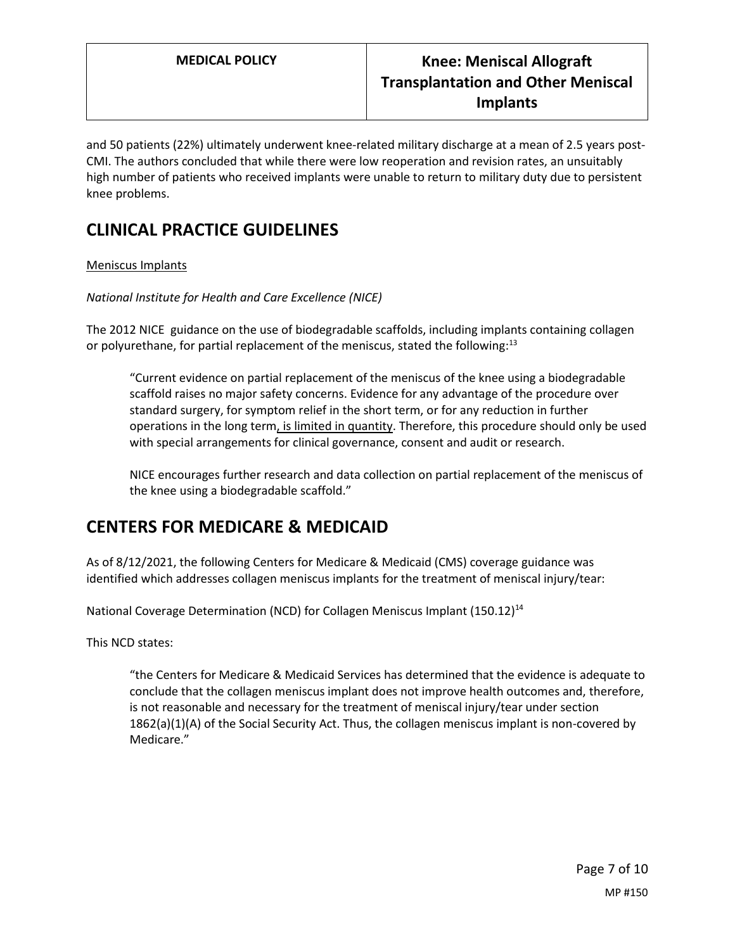and 50 patients (22%) ultimately underwent knee-related military discharge at a mean of 2.5 years post-CMI. The authors concluded that while there were low reoperation and revision rates, an unsuitably high number of patients who received implants were unable to return to military duty due to persistent knee problems.

# **CLINICAL PRACTICE GUIDELINES**

## Meniscus Implants

*National Institute for Health and Care Excellence (NICE)* 

The 2012 NICE guidance on the use of biodegradable scaffolds, including implants containing collagen or polyurethane, for partial replacement of the meniscus, stated the following:<sup>13</sup>

"Current evidence on partial replacement of the meniscus of the knee using a biodegradable scaffold raises no major safety concerns. Evidence for any advantage of the procedure over standard surgery, for symptom relief in the short term, or for any reduction in further operations in the long term, is limited in quantity. Therefore, this procedure should only be used with special arrangements for clinical governance, consent and audit or research.

NICE encourages further research and data collection on partial replacement of the meniscus of the knee using a biodegradable scaffold."

# <span id="page-6-0"></span>**CENTERS FOR MEDICARE & MEDICAID**

As of 8/12/2021, the following Centers for Medicare & Medicaid (CMS) coverage guidance was identified which addresses collagen meniscus implants for the treatment of meniscal injury/tear:

National Coverage Determination (NCD) for Collagen Meniscus Implant (150.12)<sup>14</sup>

This NCD states:

"the Centers for Medicare & Medicaid Services has determined that the evidence is adequate to conclude that the collagen meniscus implant does not improve health outcomes and, therefore, is not reasonable and necessary for the treatment of meniscal injury/tear under section 1862(a)(1)(A) of the Social Security Act. Thus, the collagen meniscus implant is non-covered by Medicare."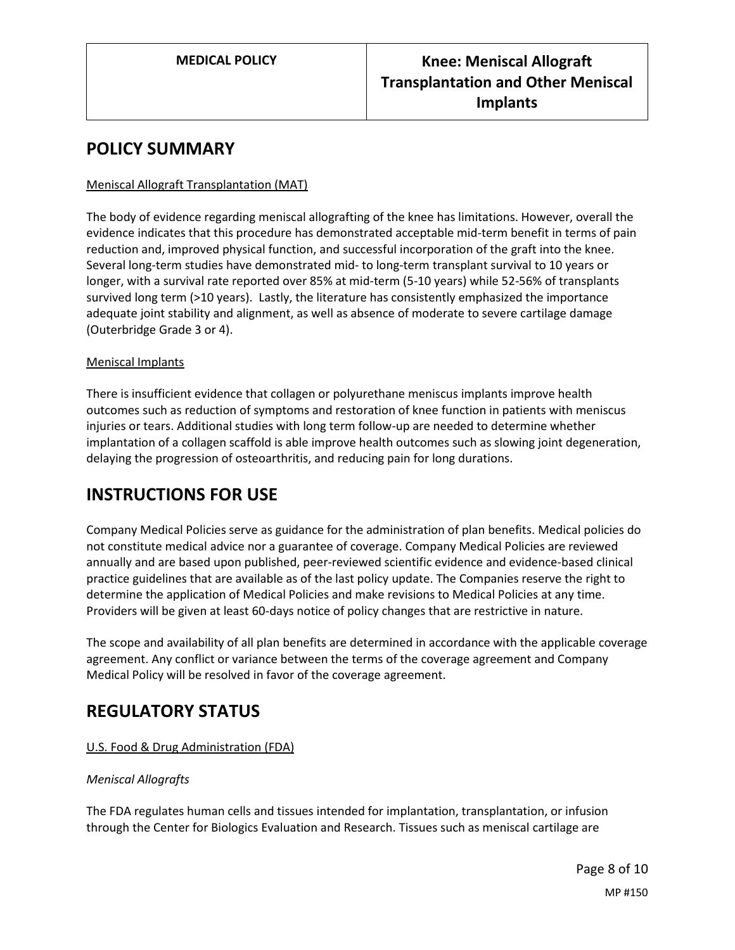## **POLICY SUMMARY**

## Meniscal Allograft Transplantation (MAT)

The body of evidence regarding meniscal allografting of the knee has limitations. However, overall the evidence indicates that this procedure has demonstrated acceptable mid-term benefit in terms of pain reduction and, improved physical function, and successful incorporation of the graft into the knee. Several long-term studies have demonstrated mid- to long-term transplant survival to 10 years or longer, with a survival rate reported over 85% at mid-term (5-10 years) while 52-56% of transplants survived long term (>10 years). Lastly, the literature has consistently emphasized the importance adequate joint stability and alignment, as well as absence of moderate to severe cartilage damage (Outerbridge Grade 3 or 4).

## Meniscal Implants

There is insufficient evidence that collagen or polyurethane meniscus implants improve health outcomes such as reduction of symptoms and restoration of knee function in patients with meniscus injuries or tears. Additional studies with long term follow-up are needed to determine whether implantation of a collagen scaffold is able improve health outcomes such as slowing joint degeneration, delaying the progression of osteoarthritis, and reducing pain for long durations.

## **INSTRUCTIONS FOR USE**

Company Medical Policies serve as guidance for the administration of plan benefits. Medical policies do not constitute medical advice nor a guarantee of coverage. Company Medical Policies are reviewed annually and are based upon published, peer-reviewed scientific evidence and evidence-based clinical practice guidelines that are available as of the last policy update. The Companies reserve the right to determine the application of Medical Policies and make revisions to Medical Policies at any time. Providers will be given at least 60-days notice of policy changes that are restrictive in nature.

The scope and availability of all plan benefits are determined in accordance with the applicable coverage agreement. Any conflict or variance between the terms of the coverage agreement and Company Medical Policy will be resolved in favor of the coverage agreement.

# **REGULATORY STATUS**

## U.S. Food & Drug Administration (FDA)

## *Meniscal Allografts*

The FDA regulates human cells and tissues intended for implantation, transplantation, or infusion through the Center for Biologics Evaluation and Research. Tissues such as meniscal cartilage are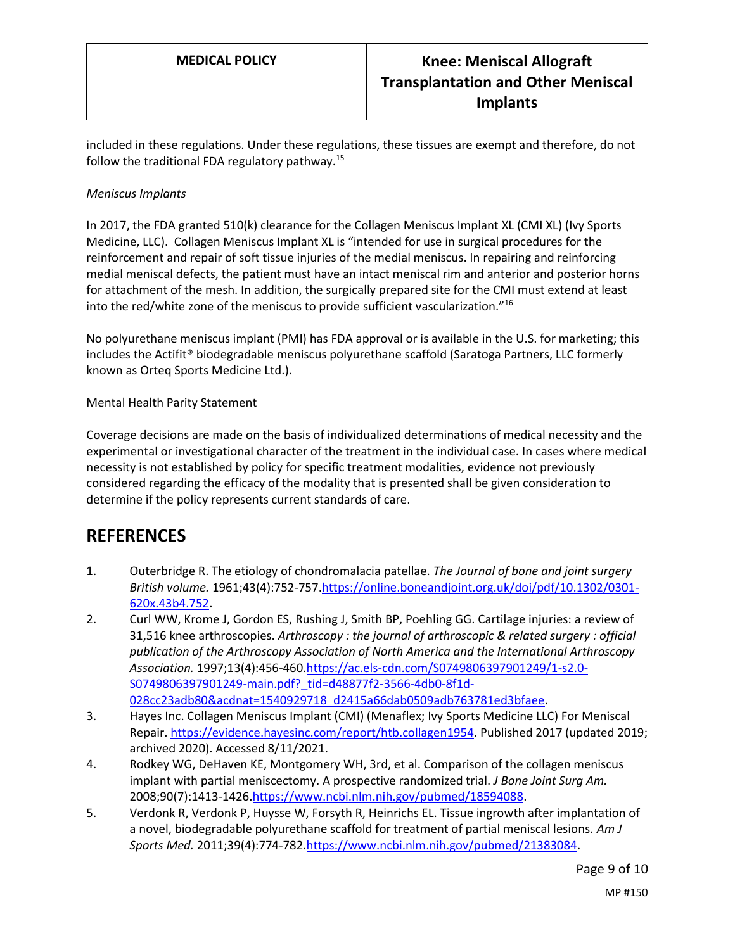included in these regulations. Under these regulations, these tissues are exempt and therefore, do not follow the traditional FDA regulatory pathway.<sup>15</sup>

## *Meniscus Implants*

In 2017, the FDA granted 510(k) clearance for the Collagen Meniscus Implant XL (CMI XL) (Ivy Sports Medicine, LLC). Collagen Meniscus Implant XL is "intended for use in surgical procedures for the reinforcement and repair of soft tissue injuries of the medial meniscus. In repairing and reinforcing medial meniscal defects, the patient must have an intact meniscal rim and anterior and posterior horns for attachment of the mesh. In addition, the surgically prepared site for the CMI must extend at least into the red/white zone of the meniscus to provide sufficient vascularization."<sup>16</sup>

No polyurethane meniscus implant (PMI) has FDA approval or is available in the U.S. for marketing; this includes the Actifit® biodegradable meniscus polyurethane scaffold (Saratoga Partners, LLC formerly known as Orteq Sports Medicine Ltd.).

#### Mental Health Parity Statement

Coverage decisions are made on the basis of individualized determinations of medical necessity and the experimental or investigational character of the treatment in the individual case. In cases where medical necessity is not established by policy for specific treatment modalities, evidence not previously considered regarding the efficacy of the modality that is presented shall be given consideration to determine if the policy represents current standards of care.

## **REFERENCES**

- 1. Outerbridge R. The etiology of chondromalacia patellae. *The Journal of bone and joint surgery British volume.* 1961;43(4):752-757[.https://online.boneandjoint.org.uk/doi/pdf/10.1302/0301-](https://online.boneandjoint.org.uk/doi/pdf/10.1302/0301-620x.43b4.752) [620x.43b4.752.](https://online.boneandjoint.org.uk/doi/pdf/10.1302/0301-620x.43b4.752)
- 2. Curl WW, Krome J, Gordon ES, Rushing J, Smith BP, Poehling GG. Cartilage injuries: a review of 31,516 knee arthroscopies. *Arthroscopy : the journal of arthroscopic & related surgery : official publication of the Arthroscopy Association of North America and the International Arthroscopy Association.* 1997;13(4):456-460[.https://ac.els-cdn.com/S0749806397901249/1-s2.0-](https://ac.els-cdn.com/S0749806397901249/1-s2.0-S0749806397901249-main.pdf?_tid=d48877f2-3566-4db0-8f1d-028cc23adb80&acdnat=1540929718_d2415a66dab0509adb763781ed3bfaee) S0749806397901249-main.pdf? tid=d48877f2-3566-4db0-8f1d-[028cc23adb80&acdnat=1540929718\\_d2415a66dab0509adb763781ed3bfaee.](https://ac.els-cdn.com/S0749806397901249/1-s2.0-S0749806397901249-main.pdf?_tid=d48877f2-3566-4db0-8f1d-028cc23adb80&acdnat=1540929718_d2415a66dab0509adb763781ed3bfaee)
- 3. Hayes Inc. Collagen Meniscus Implant (CMI) (Menaflex; Ivy Sports Medicine LLC) For Meniscal Repair. [https://evidence.hayesinc.com/report/htb.collagen1954.](https://evidence.hayesinc.com/report/htb.collagen1954) Published 2017 (updated 2019; archived 2020). Accessed 8/11/2021.
- 4. Rodkey WG, DeHaven KE, Montgomery WH, 3rd, et al. Comparison of the collagen meniscus implant with partial meniscectomy. A prospective randomized trial. *J Bone Joint Surg Am.*  2008;90(7):1413-1426[.https://www.ncbi.nlm.nih.gov/pubmed/18594088.](https://www.ncbi.nlm.nih.gov/pubmed/18594088)
- 5. Verdonk R, Verdonk P, Huysse W, Forsyth R, Heinrichs EL. Tissue ingrowth after implantation of a novel, biodegradable polyurethane scaffold for treatment of partial meniscal lesions. *Am J Sports Med.* 2011;39(4):774-782[.https://www.ncbi.nlm.nih.gov/pubmed/21383084.](https://www.ncbi.nlm.nih.gov/pubmed/21383084)